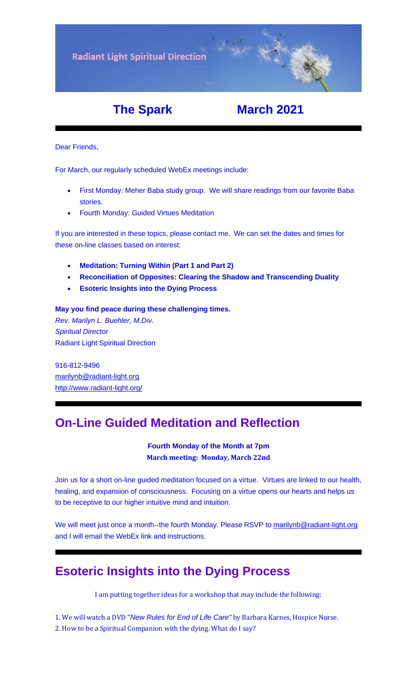**Radiant Light Spiritual Direction** 

## **The Spark March 2021**

Dear Friends,

For March, our regularly scheduled WebEx meetings include:

- First Monday: Meher Baba study group. We will share readings from our favorite Baba stories.
- Fourth Monday: Guided Virtues Meditation

If you are interested in these topics, please contact me. We can set the dates and times for these on-line classes based on interest:

- **[Meditation: Turning Within \(Part 1 and Part 2\)](https://u18544456.ct.sendgrid.net/ls/click?upn=YO6TcuTs2Xz6NlJVKcEQZiklIDFGo-2FRGaP7ZnccBbQCHI3OCy1-2FTljnUIZxiRg8HLM4DYB-2FN-2Fq3kXlEC-2F4u5oV164lbmXOFL895hqZhKLR0-3D7qqC_FiQrYGg1YZElR924caalGEP3AHGeF79ulf5jxC9Fbcd8IfoR4p2-2FW0xZvJaX6Y3z75H0Yw3uGmHJTH3azVPJ5HTXrZ-2Ft5OVM5Vv31JFvUf3sl-2Bt2VvZL3mo9-2FDK3jGCp61vRtz0qchT4ddHRjjWHtxWFy41fx7aR22VYrdTxWRbX9wFGGmj3UYODpWrpmc1dsGgDVgIanxkhS-2BLiRwRSIuLpEfLxjw52swDWxaqb4agn-2ByXAiRaOD7mBvyicHJjLaHzTVEUk96ks7TZsSYgxx5SfIEXVoUI99PC2VSou74eY52GvpWckZGzzKb1iVWQq8Hi1oEf5VH4M7SZKvH8O9l9V76yI6zOaYJMjKX-2F4hxfTEGkYgRgy6a5ZfuhyQIzekh7qoRCQdchUW3phzagZikKxfoBygOOw6spJXL26QggP84sPOJ-2FlVvQlDcqA4PZTeGzsopeyNFS7ULPUdLeKc-2BZcs-2FNVMk31r20WVgB1aosTQI5Wwodh-2FA-2F0A44MaMjfdeol0pPjuf0D1z0rE29hzM2DofXYoxbEyuRYuSacuRAxGkWw6lziGy4-2BDQnVWagq0L7kMDBR9nPFFi0zq3eGvAILnb2E87h0iEFa2BzKI5z5B9N1ubUiJ8-2Bs2TU394FLV1xKiSBbthtaNNN5YRbQRkpQqmfMpk-2BpA-2F0-2FX5tCzdIOxqnk87PPL75OCMvFONB-2B54Anj1BCWSKy8rnbfXil3Y-2Fu7gLjVQhzIiEx09fzWdAhC8LX48ge-2B1dGGJPhKH4gHcKJs5vz69oNxXRa2XrygouB2dIJwR1-2Bw-2B6NvB024ZbMVIBkGebOrgWDYEuh4S7nqlA1hDwunx71xsddvfHlnYat8FfsJEqOz5P2CbvSOyw-3D)**
- **[Reconciliation of Opposites: Clearing the Shadow and Transcending Dualit](https://u18544456.ct.sendgrid.net/ls/click?upn=YO6TcuTs2Xz6NlJVKcEQZiklIDFGo-2FRGaP7ZnccBbQBGusmZfNmfWP2-2F0bS7gDEvg7s-2FT-2FketP1vrwJqVOk03W8vVkbj2WqZ2HvU-2F4FbrkY-3DKU-M_FiQrYGg1YZElR924caalGEP3AHGeF79ulf5jxC9Fbcd8IfoR4p2-2FW0xZvJaX6Y3z75H0Yw3uGmHJTH3azVPJ5HTXrZ-2Ft5OVM5Vv31JFvUf3sl-2Bt2VvZL3mo9-2FDK3jGCp61vRtz0qchT4ddHRjjWHtxWFy41fx7aR22VYrdTxWRbX9wFGGmj3UYODpWrpmc1dsGgDVgIanxkhS-2BLiRwRSIuLpEfLxjw52swDWxaqb4agn-2ByXAiRaOD7mBvyicHJjLaHzTVEUk96ks7TZsSYgxx5SfIEXVoUI99PC2VSou74eY52GvpWckZGzzKb1iVWQq8Hi1oEf5VH4M7SZKvH8O9l9V76yI6zOaYJMjKX-2F4hxfTEGkYgRgy6a5ZfuhyQIzekh7qoRCQdchUW3phzagZikKxfoBygOOw6spJXL26QggP84sPOJ-2FlVvQlDcqA4PZTeGzsopeyNFS7ULPUdLeKc-2BZcs-2FNVMk31r20WVgB1aosTQI5Wwodh-2FA-2F0A44MaMjfdeol0pPjuf0D1z0rE29hzM2DofXYoxbEyuRYuSacuRAxGkWw6lziGy4-2BDQnVWagq0L7kMDBR9nPFFi0zq3eGvAILnb2E87h0iEFa2BzKI5z5B9N1ubUiJ8-2Bs2TU394FLV1xKiSBbthtaNNN5YRbQRkpQqmfMpk-2BpA-2F0-2FX5tCzdIOxqnk87PPL75OCMvFONB-2B6jttF6Rrvvs1fN936BaQs0lVbo1IAIyQCkQadsZuS3NYqAqLeRFebp2zXsl5bdD5QD-2FNnRFfEKrozNfBM2cb4Dy23VMagnQQoUrAXs6tECfLlbgbR0piEGnB22qi8-2B45r9pLIW5MI1m2eYASd-2BWfDLcpxOUhl2OAoD9J8k7TJRU-3D)y**
- **[Esoteric Insights into the Dying Process](https://u18544456.ct.sendgrid.net/ls/click?upn=YO6TcuTs2Xz6NlJVKcEQZiklIDFGo-2FRGaP7ZnccBbQAmgx5iYLnK9XdRZcvCyt81CrUlas186DIfxdHfXsRJZYnq2wbDsES7ODpqNntqlfD5qxvPcBVzjalw-2FvU5LeP44bRu_FiQrYGg1YZElR924caalGEP3AHGeF79ulf5jxC9Fbcd8IfoR4p2-2FW0xZvJaX6Y3z75H0Yw3uGmHJTH3azVPJ5HTXrZ-2Ft5OVM5Vv31JFvUf3sl-2Bt2VvZL3mo9-2FDK3jGCp61vRtz0qchT4ddHRjjWHtxWFy41fx7aR22VYrdTxWRbX9wFGGmj3UYODpWrpmc1dsGgDVgIanxkhS-2BLiRwRSIuLpEfLxjw52swDWxaqb4agn-2ByXAiRaOD7mBvyicHJjLaHzTVEUk96ks7TZsSYgxx5SfIEXVoUI99PC2VSou74eY52GvpWckZGzzKb1iVWQq8Hi1oEf5VH4M7SZKvH8O9l9V76yI6zOaYJMjKX-2F4hxfTEGkYgRgy6a5ZfuhyQIzekh7qoRCQdchUW3phzagZikKxfoBygOOw6spJXL26QggP84sPOJ-2FlVvQlDcqA4PZTeGzsopeyNFS7ULPUdLeKc-2BZcs-2FNVMk31r20WVgB1aosTQI5Wwodh-2FA-2F0A44MaMjfdeol0pPjuf0D1z0rE29hzM2DofXYoxbEyuRYuSacuRAxGkWw6lziGy4-2BDQnVWagq0L7kMDBR9nPFFi0zq3eGvAILnb2E87h0iEFa2BzKI5z5B9N1ubUiJ8-2Bs2TU394FLV1xKiSBbthtaNNN5YRbQRkpQqmfMpk-2BpA-2F0-2FX5tCzdIOxqnk87PPL75OCMvFONB-2Bw1s5PnQf1lWlIYge-2B5cQtsROGlV1nkfv112sfYIhqwL-2BrMkq3AdgKWeeWie5N4Lu7g4rPjV54p0DSqcZDEU8XWHMe97D-2FZ-2Bi-2FU0miMsDKX54FrTN30ilnW17J2WkJ8HYwh9F97mPGXqjph1MU96yNW-2BesSXvobndL7qlJ6nCO4s-3D)**

#### **May you find peace during these challenging times.**

*Rev. Marilyn L. Buehler, M.Div. Spiritual Director* Radiant Light Spiritual Direction

916-812-9496 [marilynb@radiant-light.org](mailto:marilynb@radiant-light.org) [http://www.radiant-light.org/](https://u18544456.ct.sendgrid.net/ls/click?upn=R-2Bl7NGDLiuME3v4KUDXT9h2qnOPi-2Bv0NUDPOAvqgwbSGaV-2BAb3Xm4aVOKtH6HhU9m-2FTXOQwSXWi82XNXQXmW0Ybjzw6tS-2BT4DLdUHTzXugFWK15x1FY1bK6oAs60zDHa1TAO_FiQrYGg1YZElR924caalGEP3AHGeF79ulf5jxC9Fbcd8IfoR4p2-2FW0xZvJaX6Y3z75H0Yw3uGmHJTH3azVPJ5HTXrZ-2Ft5OVM5Vv31JFvUf3sl-2Bt2VvZL3mo9-2FDK3jGCp61vRtz0qchT4ddHRjjWHtxWFy41fx7aR22VYrdTxWRbX9wFGGmj3UYODpWrpmc1dsGgDVgIanxkhS-2BLiRwRSIuLpEfLxjw52swDWxaqb4agn-2ByXAiRaOD7mBvyicHJjLaHzTVEUk96ks7TZsSYgxx5SfIEXVoUI99PC2VSou74eY52GvpWckZGzzKb1iVWQq8Hi1oEf5VH4M7SZKvH8O9l9V76yI6zOaYJMjKX-2F4hxfTEGkYgRgy6a5ZfuhyQIzekh7qoRCQdchUW3phzagZikKxfoBygOOw6spJXL26QggP84sPOJ-2FlVvQlDcqA4PZTeGzsopeyNFS7ULPUdLeKc-2BZcs-2FNVMk31r20WVgB1aosTQI5Wwodh-2FA-2F0A44MaMjfdeol0pPjuf0D1z0rE29hzM2DofXYoxbEyuRYuSacuRAxGkWw6lziGy4-2BDQnVWagq0L7kMDBR9nPFFi0zq3eGvAILnb2E87h0iEFa2BzKI5z5B9N1ubUiJ8-2Bs2TU394FLV1xKiSBbthtaNNN5YRbQRkpQqmfMpk-2BpA-2F0-2FX5tCzdIOxqnk87PPL75OCMvFONB-2BrvVN2Yqm-2BYaQ3C6TD0mCYyGXrfvcq6znG9Tg5zXYf1IL85C1ns5JVmakWvs0QDhg-2BmxBI5l6ELtvJIG9pXk55Q9ZH-2BunySLyE9LJ0pE6IGc1AQp8ozVS07tegAOCcob8U4c59lKTzH0U1BlhDIXo0LB1-2Bzd-2B0gbAtsloShh9gYc-3D)

# **On-Line Guided Meditation and Reflection**

#### **Fourth Monday of the Month at 7pm March meeting: Monday, March 22nd**

Join us for a short on-line guided meditation focused on a virtue. Virtues are linked to our health, healing, and expansion of consciousness. Focusing on a virtue opens our hearts and helps us to be receptive to our higher intuitive mind and intuition.

We will meet just once a month--the fourth Monday. Please RSVP to [marilynb@radiant-light.org](mailto:marilynb@radiant-light.org) and I will email the WebEx link and instructions.

# **Esoteric Insights into the Dying Process**

I am putting together ideas for a workshop that may include the following:

- 1. We will watch a DVD "*New Rules for End of Life Care"* by Barbara Karnes, Hospice Nurse.
- 2. How to be a Spiritual Companion with the dying. What do I say?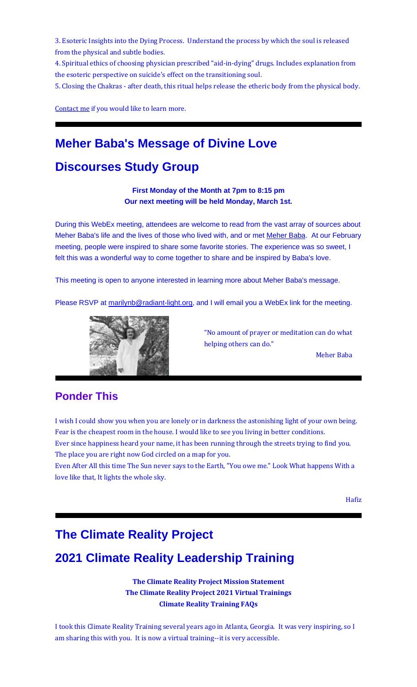3. Esoteric Insights into the Dying Process. Understand the process by which the soul is released from the physical and subtle bodies.

4. Spiritual ethics of choosing physician prescribed "aid-in-dying" drugs. Includes explanation from the esoteric perspective on suicide's effect on the transitioning soul.

5. Closing the Chakras - after death, this ritual helps release the etheric body from the physical body.

[Contact](https://u18544456.ct.sendgrid.net/ls/click?upn=YO6TcuTs2Xz6NlJVKcEQZiklIDFGo-2FRGaP7ZnccBbQCMiFIlrv5wCJXNwB12BRbEWwvZ_FiQrYGg1YZElR924caalGEP3AHGeF79ulf5jxC9Fbcd8IfoR4p2-2FW0xZvJaX6Y3z75H0Yw3uGmHJTH3azVPJ5HTXrZ-2Ft5OVM5Vv31JFvUf3sl-2Bt2VvZL3mo9-2FDK3jGCp61vRtz0qchT4ddHRjjWHtxWFy41fx7aR22VYrdTxWRbX9wFGGmj3UYODpWrpmc1dsGgDVgIanxkhS-2BLiRwRSIuLpEfLxjw52swDWxaqb4agn-2ByXAiRaOD7mBvyicHJjLaHzTVEUk96ks7TZsSYgxx5SfIEXVoUI99PC2VSou74eY52GvpWckZGzzKb1iVWQq8Hi1oEf5VH4M7SZKvH8O9l9V76yI6zOaYJMjKX-2F4hxfTEGkYgRgy6a5ZfuhyQIzekh7qoRCQdchUW3phzagZikKxfoBygOOw6spJXL26QggP84sPOJ-2FlVvQlDcqA4PZTeGzsopeyNFS7ULPUdLeKc-2BZcs-2FNVMk31r20WVgB1aosTQI5Wwodh-2FA-2F0A44MaMjfdeol0pPjuf0D1z0rE29hzM2DofXYoxbEyuRYuSacuRAxGkWw6lziGy4-2BDQnVWagq0L7kMDBR9nPFFi0zq3eGvAILnb2E87h0iEFa2BzKI5z5B9N1ubUiJ8-2Bs2TU394FLV1xKiSBbthtaNNN5YRbQRkpQqmfMpk-2BpA-2F0-2FX5tCzdIOxqnk87PPL75OCMvFONB-2BI6ReXU3Vm4A6lvl0-2BPVfDiAMbs-2F36Zkt7qu2W32GMbCWAPSSlumhN5lOlvB10VLwU-2BRfn3byAfbtNSKvBHtoBDntAzzDnEygbbWAdX-2FxQAIw7J-2FtZ2swswz4QzhM-2Bqb7uudHY4aw2gCfxmR2V2iS9BuuSqVfoavL0uQLitFxNcA-3D) me if you would like to learn more.

## **Meher Baba's Message of Divine Love**

# **Discourses Study Group**

**First Monday of the Month at 7pm to 8:15 pm Our next meeting will be held Monday, March 1st.**

During this WebEx meeting, attendees are welcome to read from the vast array of sources about Meher Baba's life and the lives of those who lived with, and or met [Meher Baba.](https://u18544456.ct.sendgrid.net/ls/click?upn=R-2Bl7NGDLiuME3v4KUDXT9rQd7KeZPQi0F131dKEdeDxs3GXZgvKprVOWqdDNeH0xaZmDRkjrUGzqowDA8h3XTg-3D-3Di7xd_FiQrYGg1YZElR924caalGEP3AHGeF79ulf5jxC9Fbcd8IfoR4p2-2FW0xZvJaX6Y3z75H0Yw3uGmHJTH3azVPJ5HTXrZ-2Ft5OVM5Vv31JFvUf3sl-2Bt2VvZL3mo9-2FDK3jGCp61vRtz0qchT4ddHRjjWHtxWFy41fx7aR22VYrdTxWRbX9wFGGmj3UYODpWrpmc1dsGgDVgIanxkhS-2BLiRwRSIuLpEfLxjw52swDWxaqb4agn-2ByXAiRaOD7mBvyicHJjLaHzTVEUk96ks7TZsSYgxx5SfIEXVoUI99PC2VSou74eY52GvpWckZGzzKb1iVWQq8Hi1oEf5VH4M7SZKvH8O9l9V76yI6zOaYJMjKX-2F4hxfTEGkYgRgy6a5ZfuhyQIzekh7qoRCQdchUW3phzagZikKxfoBygOOw6spJXL26QggP84sPOJ-2FlVvQlDcqA4PZTeGzsopeyNFS7ULPUdLeKc-2BZcs-2FNVMk31r20WVgB1aosTQI5Wwodh-2FA-2F0A44MaMjfdeol0pPjuf0D1z0rE29hzM2DofXYoxbEyuRYuSacuRAxGkWw6lziGy4-2BDQnVWagq0L7kMDBR9nPFFi0zq3eGvAILnb2E87h0iEFa2BzKI5z5B9N1ubUiJ8-2Bs2TU394FLV1xKiSBbthtaNNN5YRbQRkpQqmfMpk-2BpA-2F0-2FX5tCzdIOxqnk87PPL75OCMvFONB-2BQ1VVkisf7vRV4K9uX4Ehp-2BIAoFcrwYkkiknMRQF8h-2FppHRuknndnOVLDuGPDI8FKz1qxn5idMzEPNNgaXONZvrGn9vxRe-2BVi0b7JbMcEbEIPSqkCqY-2Bdjhysb7lI9V47xepYAqrKrKOWirR0ag-2Bs7anN6iXdlgVCw9jCAjWcK5Q-3D) At our February meeting, people were inspired to share some favorite stories. The experience was so sweet, I felt this was a wonderful way to come together to share and be inspired by Baba's love.

This meeting is open to anyone interested in learning more about Meher Baba's message.

Please RSVP at [marilynb@radiant-light.org,](mailto:marilynb@radiant-light.org) and I will email you a WebEx link for the meeting.



"No amount of prayer or meditation can do what helping others can do."

Meher Baba

#### **Ponder This**

I wish I could show you when you are lonely or in darkness the astonishing light of your own being. Fear is the cheapest room in the house. I would like to see you living in better conditions. Ever since happiness heard your name, it has been running through the streets trying to find you.

The place you are right now God circled on a map for you.

Even After All this time The Sun never says to the Earth, "You owe me." Look What happens With a love like that, It lights the whole sky.

Hafiz

### **The Climate Reality Project**

## **2021 Climate Reality Leadership Training**

**[The Climate Reality Project Mission Statement](https://u18544456.ct.sendgrid.net/ls/click?upn=R-2Bl7NGDLiuME3v4KUDXT9lw6GJ0t1Q55IW2HC8G32WH-2FQsYOj7BNdvjUDuzRW-2Fg8JAmJ8sQO9K23TrRlvTXpKw-3D-3DdAf3_FiQrYGg1YZElR924caalGEP3AHGeF79ulf5jxC9Fbcd8IfoR4p2-2FW0xZvJaX6Y3z75H0Yw3uGmHJTH3azVPJ5HTXrZ-2Ft5OVM5Vv31JFvUf3sl-2Bt2VvZL3mo9-2FDK3jGCp61vRtz0qchT4ddHRjjWHtxWFy41fx7aR22VYrdTxWRbX9wFGGmj3UYODpWrpmc1dsGgDVgIanxkhS-2BLiRwRSIuLpEfLxjw52swDWxaqb4agn-2ByXAiRaOD7mBvyicHJjLaHzTVEUk96ks7TZsSYgxx5SfIEXVoUI99PC2VSou74eY52GvpWckZGzzKb1iVWQq8Hi1oEf5VH4M7SZKvH8O9l9V76yI6zOaYJMjKX-2F4hxfTEGkYgRgy6a5ZfuhyQIzekh7qoRCQdchUW3phzagZikKxfoBygOOw6spJXL26QggP84sPOJ-2FlVvQlDcqA4PZTeGzsopeyNFS7ULPUdLeKc-2BZcs-2FNVMk31r20WVgB1aosTQI5Wwodh-2FA-2F0A44MaMjfdeol0pPjuf0D1z0rE29hzM2DofXYoxbEyuRYuSacuRAxGkWw6lziGy4-2BDQnVWagq0L7kMDBR9nPFFi0zq3eGvAILnb2E87h0iEFa2BzKI5z5B9N1ubUiJ8-2Bs2TU394FLV1xKiSBbthtaNNN5YRbQRkpQqmfMpk-2BpA-2F0-2FX5tCzdIOxqnk87PPL75OCMvFONB-2BSKONVk2FH-2BiJVfexjMtTrGBnq7eyUkPJQHuTNjBhyLZTEKi9gcwEx13raZqrKoTlvJMN7m6SAIqKEwk20X8cIbtpaclJ5uLPrMAf-2FB4miCVT-2BoWRZ2ExvN6dIIK4X2QVdzj-2B8Xi0YdE3AQOzSAiU1rW0DKoJfAWVobA-2F8Y4z6Kc-3D) [The Climate Reality Project 2021 Virtual Trainings](https://u18544456.ct.sendgrid.net/ls/click?upn=R-2Bl7NGDLiuME3v4KUDXT9lw6GJ0t1Q55IW2HC8G32WGoFBrl4N-2BiFmlFisi-2BkPEX8MaeP6sz9l1aFELXaa2pHw-3D-3DiO-I_FiQrYGg1YZElR924caalGEP3AHGeF79ulf5jxC9Fbcd8IfoR4p2-2FW0xZvJaX6Y3z75H0Yw3uGmHJTH3azVPJ5HTXrZ-2Ft5OVM5Vv31JFvUf3sl-2Bt2VvZL3mo9-2FDK3jGCp61vRtz0qchT4ddHRjjWHtxWFy41fx7aR22VYrdTxWRbX9wFGGmj3UYODpWrpmc1dsGgDVgIanxkhS-2BLiRwRSIuLpEfLxjw52swDWxaqb4agn-2ByXAiRaOD7mBvyicHJjLaHzTVEUk96ks7TZsSYgxx5SfIEXVoUI99PC2VSou74eY52GvpWckZGzzKb1iVWQq8Hi1oEf5VH4M7SZKvH8O9l9V76yI6zOaYJMjKX-2F4hxfTEGkYgRgy6a5ZfuhyQIzekh7qoRCQdchUW3phzagZikKxfoBygOOw6spJXL26QggP84sPOJ-2FlVvQlDcqA4PZTeGzsopeyNFS7ULPUdLeKc-2BZcs-2FNVMk31r20WVgB1aosTQI5Wwodh-2FA-2F0A44MaMjfdeol0pPjuf0D1z0rE29hzM2DofXYoxbEyuRYuSacuRAxGkWw6lziGy4-2BDQnVWagq0L7kMDBR9nPFFi0zq3eGvAILnb2E87h0iEFa2BzKI5z5B9N1ubUiJ8-2Bs2TU394FLV1xKiSBbthtaNNN5YRbQRkpQqmfMpk-2BpA-2F0-2FX5tCzdIOxqnk87PPL75OCMvFONB-2Bj8SLWVITuPLA77OiNuD-2ByDRcBxX4cGJJMfojXpQm1P5B2eCQymCQTZVnVarJKVl53zn1NI7FOP2LN0MHNQjlI57o2k-2BUF-2FY5NwcOtMPU2cg-2BD7XMFTzdUCoM3MjOmmbrqpvB2HsGdMcKF4dlLVTEHVbxL8OAFFlrUOKMy8zTV6k-3D) [Climate Reality Training FAQs](https://u18544456.ct.sendgrid.net/ls/click?upn=R-2Bl7NGDLiuME3v4KUDXT9pEisetrctAyoSPY1i5sCmEPJmci9fkrUewiyHcf-2F1rI36uKhXA-2F-2B7Ohd4fbxqLoCRN4H6reRJUsaMgYJD4UdoY-3D7CbV_FiQrYGg1YZElR924caalGEP3AHGeF79ulf5jxC9Fbcd8IfoR4p2-2FW0xZvJaX6Y3z75H0Yw3uGmHJTH3azVPJ5HTXrZ-2Ft5OVM5Vv31JFvUf3sl-2Bt2VvZL3mo9-2FDK3jGCp61vRtz0qchT4ddHRjjWHtxWFy41fx7aR22VYrdTxWRbX9wFGGmj3UYODpWrpmc1dsGgDVgIanxkhS-2BLiRwRSIuLpEfLxjw52swDWxaqb4agn-2ByXAiRaOD7mBvyicHJjLaHzTVEUk96ks7TZsSYgxx5SfIEXVoUI99PC2VSou74eY52GvpWckZGzzKb1iVWQq8Hi1oEf5VH4M7SZKvH8O9l9V76yI6zOaYJMjKX-2F4hxfTEGkYgRgy6a5ZfuhyQIzekh7qoRCQdchUW3phzagZikKxfoBygOOw6spJXL26QggP84sPOJ-2FlVvQlDcqA4PZTeGzsopeyNFS7ULPUdLeKc-2BZcs-2FNVMk31r20WVgB1aosTQI5Wwodh-2FA-2F0A44MaMjfdeol0pPjuf0D1z0rE29hzM2DofXYoxbEyuRYuSacuRAxGkWw6lziGy4-2BDQnVWagq0L7kMDBR9nPFFi0zq3eGvAILnb2E87h0iEFa2BzKI5z5B9N1ubUiJ8-2Bs2TU394FLV1xKiSBbthtaNNN5YRbQRkpQqmfMpk-2BpA-2F0-2FX5tCzdIOxqnk87PPL75OCMvFONB-2BHiXE8aUuBa-2F6ipLWQx06H08D9VM3-2FBlB17Z-2BC7DyCuxtrZuo8RBiItAmize3A1EaK-2BVooeNCc8lM4xIcPum0jhO91j6k4INvanudexKt4gD-2Bu-2B2-2BtFjSKUYioL8IBqDf1Nnip-2BEgK89QPEPBguG2n8oXRcbXzoEPc-2BkbJc5gZvE-3D)**

I took this Climate Reality Training several years ago in Atlanta, Georgia. It was very inspiring, so I am sharing this with you. It is now a virtual training--it is very accessible.